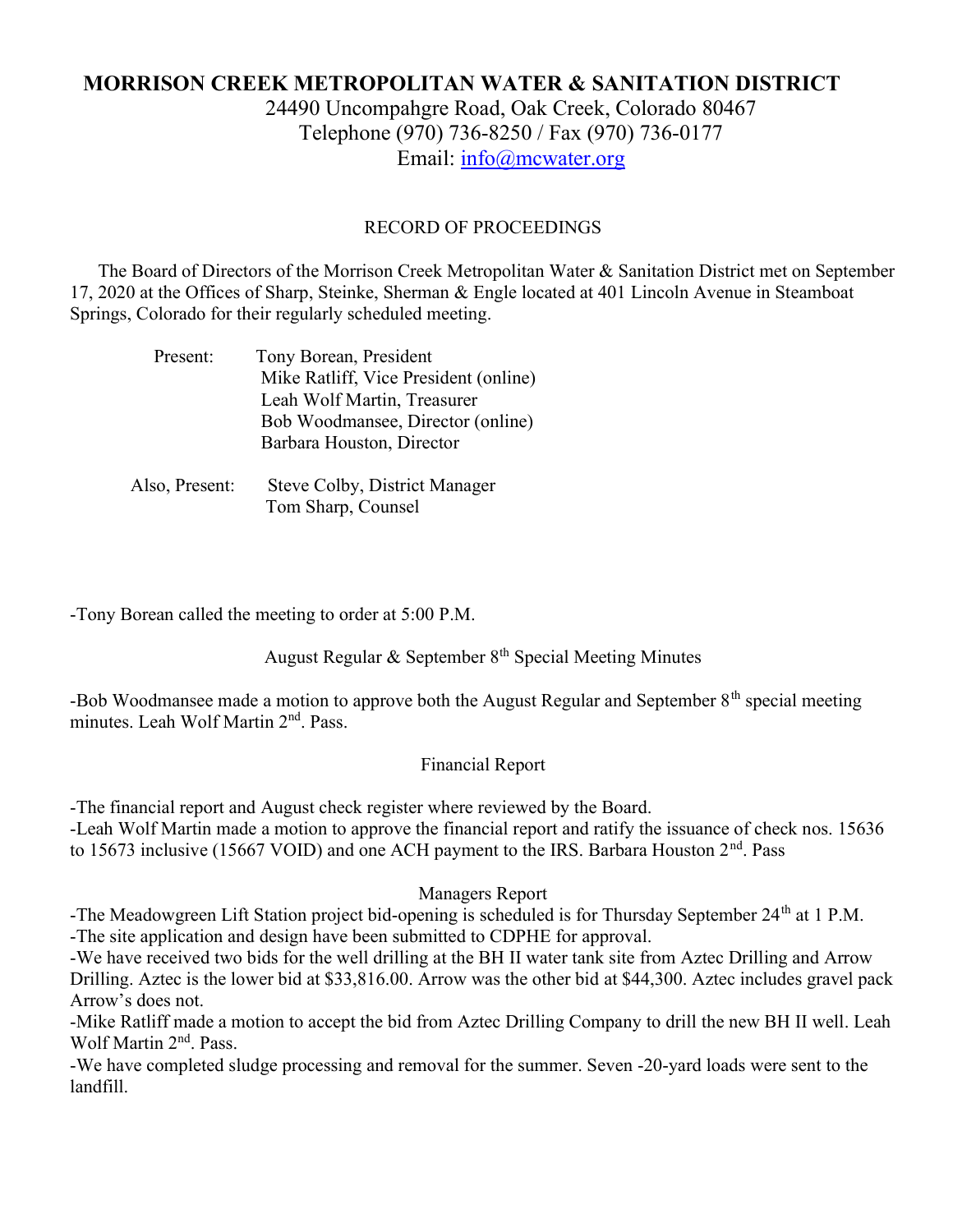# MORRISON CREEK METROPOLITAN WATER & SANITATION DISTRICT

24490 Uncompahgre Road, Oak Creek, Colorado 80467 Telephone (970) 736-8250 / Fax (970) 736-0177 Email: info@mcwater.org

#### RECORD OF PROCEEDINGS

 The Board of Directors of the Morrison Creek Metropolitan Water & Sanitation District met on September 17, 2020 at the Offices of Sharp, Steinke, Sherman & Engle located at 401 Lincoln Avenue in Steamboat Springs, Colorado for their regularly scheduled meeting.

| Present:       | Tony Borean, President                |
|----------------|---------------------------------------|
|                | Mike Ratliff, Vice President (online) |
|                | Leah Wolf Martin, Treasurer           |
|                | Bob Woodmansee, Director (online)     |
|                | Barbara Houston, Director             |
|                |                                       |
| Also, Present: | Steve Colby, District Manager         |

Tom Sharp, Counsel

-Tony Borean called the meeting to order at 5:00 P.M.

August Regular & September 8<sup>th</sup> Special Meeting Minutes

-Bob Woodmansee made a motion to approve both the August Regular and September 8<sup>th</sup> special meeting minutes. Leah Wolf Martin 2<sup>nd</sup>, Pass.

### Financial Report

-The financial report and August check register where reviewed by the Board.

-Leah Wolf Martin made a motion to approve the financial report and ratify the issuance of check nos. 15636 to 15673 inclusive (15667 VOID) and one ACH payment to the IRS. Barbara Houston 2<sup>nd</sup>. Pass

### Managers Report

-The Meadowgreen Lift Station project bid-opening is scheduled is for Thursday September 24<sup>th</sup> at 1 P.M. -The site application and design have been submitted to CDPHE for approval.

-We have received two bids for the well drilling at the BH II water tank site from Aztec Drilling and Arrow Drilling. Aztec is the lower bid at \$33,816.00. Arrow was the other bid at \$44,300. Aztec includes gravel pack Arrow's does not.

-Mike Ratliff made a motion to accept the bid from Aztec Drilling Company to drill the new BH II well. Leah Wolf Martin 2<sup>nd</sup>. Pass.

-We have completed sludge processing and removal for the summer. Seven -20-yard loads were sent to the landfill.